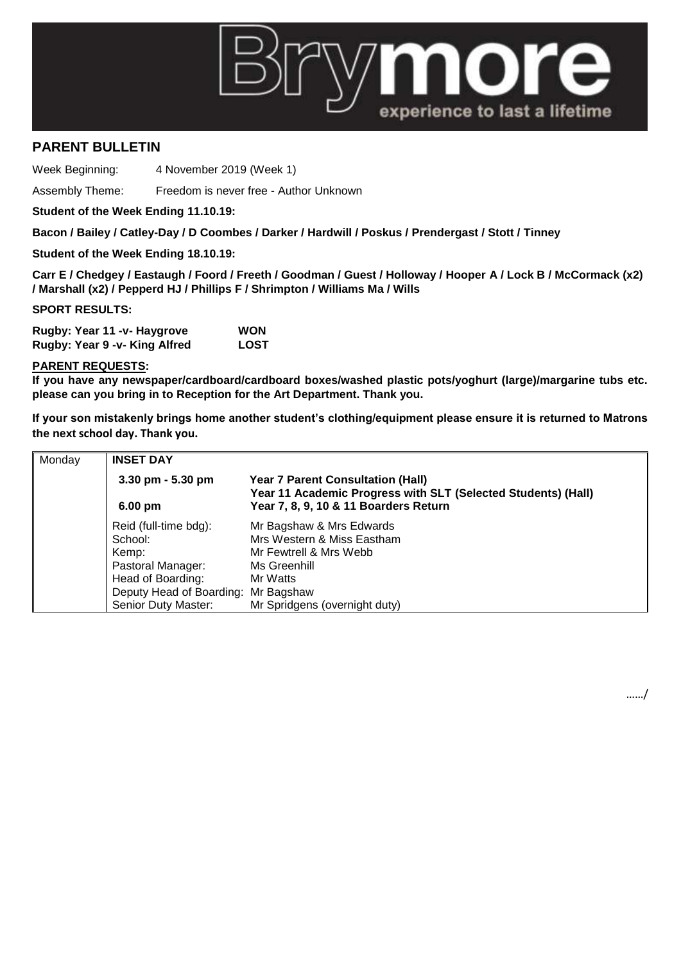

## **PARENT BULLETIN**

Week Beginning: 4 November 2019 (Week 1)

Assembly Theme: Freedom is never free - Author Unknown

**Student of the Week Ending 11.10.19:**

**Bacon / Bailey / Catley-Day / D Coombes / Darker / Hardwill / Poskus / Prendergast / Stott / Tinney**

**Student of the Week Ending 18.10.19:**

**Carr E / Chedgey / Eastaugh / Foord / Freeth / Goodman / Guest / Holloway / Hooper A / Lock B / McCormack (x2) / Marshall (x2) / Pepperd HJ / Phillips F / Shrimpton / Williams Ma / Wills**

**SPORT RESULTS:**

**Rugby: Year 11 -v- Haygrove WON Rugby: Year 9 -v- King Alfred LOST**

## **PARENT REQUESTS:**

**If you have any newspaper/cardboard/cardboard boxes/washed plastic pots/yoghurt (large)/margarine tubs etc. please can you bring in to Reception for the Art Department. Thank you.**

**If your son mistakenly brings home another student's clothing/equipment please ensure it is returned to Matrons the next school day. Thank you.**

| Monday | <b>INSET DAY</b>                                                                                                                                  |                                                                                                                                                    |
|--------|---------------------------------------------------------------------------------------------------------------------------------------------------|----------------------------------------------------------------------------------------------------------------------------------------------------|
|        | 3.30 pm - 5.30 pm<br>6.00 pm                                                                                                                      | <b>Year 7 Parent Consultation (Hall)</b><br>Year 11 Academic Progress with SLT (Selected Students) (Hall)<br>Year 7, 8, 9, 10 & 11 Boarders Return |
|        | Reid (full-time bdg):<br>School:<br>Kemp:<br>Pastoral Manager:<br>Head of Boarding:<br>Deputy Head of Boarding: Mr Bagshaw<br>Senior Duty Master: | Mr Bagshaw & Mrs Edwards<br>Mrs Western & Miss Eastham<br>Mr Fewtrell & Mrs Webb<br>Ms Greenhill<br>Mr Watts<br>Mr Spridgens (overnight duty)      |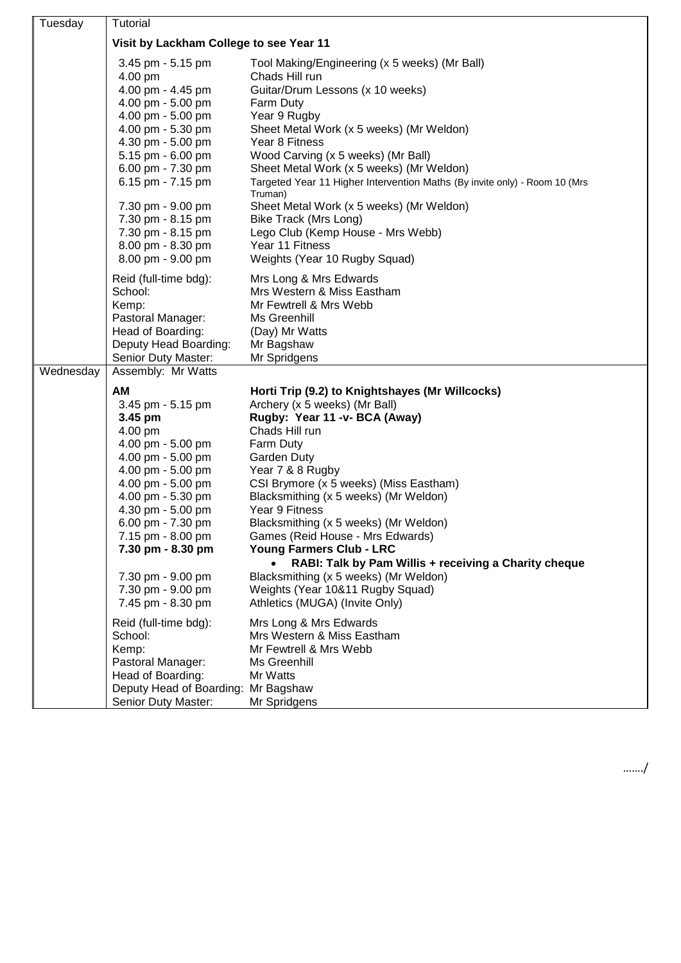| Tuesday   | Tutorial                                  |                                                                                       |  |
|-----------|-------------------------------------------|---------------------------------------------------------------------------------------|--|
|           | Visit by Lackham College to see Year 11   |                                                                                       |  |
|           | 3.45 pm - 5.15 pm                         | Tool Making/Engineering (x 5 weeks) (Mr Ball)                                         |  |
|           | 4.00 pm                                   | Chads Hill run                                                                        |  |
|           | 4.00 pm - 4.45 pm                         | Guitar/Drum Lessons (x 10 weeks)                                                      |  |
|           | 4.00 pm - 5.00 pm                         | Farm Duty                                                                             |  |
|           | 4.00 pm - 5.00 pm                         | Year 9 Rugby                                                                          |  |
|           | 4.00 pm - 5.30 pm                         | Sheet Metal Work (x 5 weeks) (Mr Weldon)                                              |  |
|           | 4.30 pm - 5.00 pm                         | Year 8 Fitness                                                                        |  |
|           | 5.15 pm - 6.00 pm                         | Wood Carving (x 5 weeks) (Mr Ball)                                                    |  |
|           | 6.00 pm - 7.30 pm                         | Sheet Metal Work (x 5 weeks) (Mr Weldon)                                              |  |
|           | 6.15 pm - 7.15 pm                         | Targeted Year 11 Higher Intervention Maths (By invite only) - Room 10 (Mrs<br>Truman) |  |
|           | 7.30 pm - 9.00 pm                         | Sheet Metal Work (x 5 weeks) (Mr Weldon)                                              |  |
|           | 7.30 pm - 8.15 pm                         | Bike Track (Mrs Long)                                                                 |  |
|           | 7.30 pm - 8.15 pm                         | Lego Club (Kemp House - Mrs Webb)                                                     |  |
|           | 8.00 pm - 8.30 pm                         | Year 11 Fitness                                                                       |  |
|           | 8.00 pm - 9.00 pm                         | Weights (Year 10 Rugby Squad)                                                         |  |
|           | Reid (full-time bdg):                     | Mrs Long & Mrs Edwards                                                                |  |
|           | School:                                   | Mrs Western & Miss Eastham                                                            |  |
|           | Kemp:                                     | Mr Fewtrell & Mrs Webb                                                                |  |
|           | Pastoral Manager:                         | Ms Greenhill                                                                          |  |
|           | Head of Boarding:                         | (Day) Mr Watts                                                                        |  |
|           | Deputy Head Boarding:                     | Mr Bagshaw                                                                            |  |
| Wednesday | Senior Duty Master:<br>Assembly: Mr Watts | Mr Spridgens                                                                          |  |
|           |                                           |                                                                                       |  |
|           | AM                                        | Horti Trip (9.2) to Knightshayes (Mr Willcocks)                                       |  |
|           | 3.45 pm - 5.15 pm<br>3.45 pm              | Archery (x 5 weeks) (Mr Ball)<br>Rugby: Year 11 -v- BCA (Away)                        |  |
|           | 4.00 pm                                   | Chads Hill run                                                                        |  |
|           | 4.00 pm - 5.00 pm                         | Farm Duty                                                                             |  |
|           | 4.00 pm - 5.00 pm                         | <b>Garden Duty</b>                                                                    |  |
|           | 4.00 pm - 5.00 pm                         | Year 7 & 8 Rugby                                                                      |  |
|           | 4.00 pm - 5.00 pm                         | CSI Brymore (x 5 weeks) (Miss Eastham)                                                |  |
|           | 4.00 pm - 5.30 pm                         | Blacksmithing (x 5 weeks) (Mr Weldon)                                                 |  |
|           | 4.30 pm - 5.00 pm                         | Year 9 Fitness                                                                        |  |
|           | 6.00 pm - 7.30 pm                         | Blacksmithing (x 5 weeks) (Mr Weldon)                                                 |  |
|           | 7.15 pm - 8.00 pm                         | Games (Reid House - Mrs Edwards)                                                      |  |
|           | 7.30 pm - 8.30 pm                         | Young Farmers Club - LRC                                                              |  |
|           |                                           | RABI: Talk by Pam Willis + receiving a Charity cheque                                 |  |
|           | 7.30 pm - 9.00 pm                         | Blacksmithing (x 5 weeks) (Mr Weldon)                                                 |  |
|           | 7.30 pm - 9.00 pm                         | Weights (Year 10&11 Rugby Squad)                                                      |  |
|           | 7.45 pm - 8.30 pm                         | Athletics (MUGA) (Invite Only)                                                        |  |
|           | Reid (full-time bdg):                     | Mrs Long & Mrs Edwards                                                                |  |
|           | School:                                   | Mrs Western & Miss Eastham                                                            |  |
|           | Kemp:                                     | Mr Fewtrell & Mrs Webb                                                                |  |
|           | Pastoral Manager:                         | Ms Greenhill                                                                          |  |
|           | Head of Boarding:                         | Mr Watts                                                                              |  |
|           | Deputy Head of Boarding:                  | Mr Bagshaw                                                                            |  |
|           | Senior Duty Master:                       | Mr Spridgens                                                                          |  |